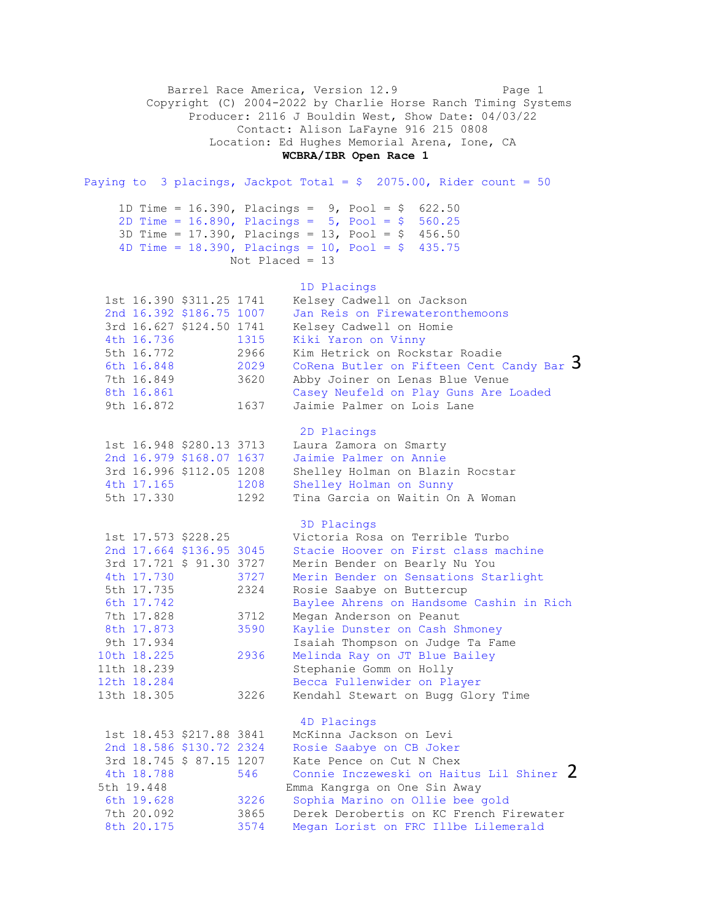Barrel Race America, Version 12.9 Page 1 Copyright (C) 2004-2022 by Charlie Horse Ranch Timing Systems Producer: 2116 J Bouldin West, Show Date: 04/03/22 Contact: Alison LaFayne 916 215 0808 Location: Ed Hughes Memorial Arena, Ione, CA **WCBRA/IBR Open Race 1** Paying to 3 placings, Jackpot Total =  $$ 2075.00$ , Rider count = 50 1D Time = 16.390, Placings = 9, Pool = \$ 622.50 2D Time = 16.890, Placings = 5, Pool = \$ 560.25 3D Time = 17.390, Placings = 13, Pool = \$ 456.50 4D Time =  $18.390$ , Placings =  $10$ , Pool = \$ 435.75 Not Placed = 13 1D Placings 1st 16.390 \$311.25 1741 Kelsey Cadwell on Jackson 2nd 16.392 \$186.75 1007 Jan Reis on Firewateronthemoons 3rd 16.627 \$124.50 1741 Kelsey Cadwell on Homie 4th 16.736 1315 Kiki Yaron on Vinny 5th 16.772 2966 Kim Hetrick on Rockstar Roadie 6th 16.848 2029 CoRena Butler on Fifteen Cent Candy Bar 7th 16.849 3620 Abby Joiner on Lenas Blue Venue 8th 16.861 Casey Neufeld on Play Guns Are Loaded 9th 16.872 1637 Jaimie Palmer on Lois Lane 2D Placings 1st 16.948 \$280.13 3713 Laura Zamora on Smarty 2nd 16.979 \$168.07 1637 Jaimie Palmer on Annie 3rd 16.996 \$112.05 1208 Shelley Holman on Blazin Rocstar 4th 17.165 1208 Shelley Holman on Sunny 5th 17.330 1292 Tina Garcia on Waitin On A Woman 3D Placings 1st 17.573 \$228.25 Victoria Rosa on Terrible Turbo 2nd 17.664 \$136.95 3045 Stacie Hoover on First class machine 3rd 17.721 \$ 91.30 3727 Merin Bender on Bearly Nu You 4th 17.730 3727 Merin Bender on Sensations Starlight 5th 17.735 2324 Rosie Saabye on Buttercup 6th 17.742 Baylee Ahrens on Handsome Cashin in Rich 7th 17.828 3712 Megan Anderson on Peanut 8th 17.873 3590 Kaylie Dunster on Cash Shmoney 9th 17.934 Isaiah Thompson on Judge Ta Fame 10th 18.225 2936 Melinda Ray on JT Blue Bailey 11th 18.239 Stephanie Gomm on Holly 12th 18.284 Becca Fullenwider on Player 13th 18.305 3226 Kendahl Stewart on Bugg Glory Time 4D Placings 1st 18.453 \$217.88 3841 McKinna Jackson on Levi 2nd 18.586 \$130.72 2324 Rosie Saabye on CB Joker 3rd 18.745 \$ 87.15 1207 Kate Pence on Cut N Chex 4th 18.788 546 Connie Inczeweski on Haitus Lil Shiner 2 5th 19.448 Emma Kangrga on One Sin Away 6th 19.628 3226 Sophia Marino on Ollie bee gold 7th 20.092 3865 Derek Derobertis on KC French Firewater 8th 20.175 3574 Megan Lorist on FRC Illbe Lilemerald 3